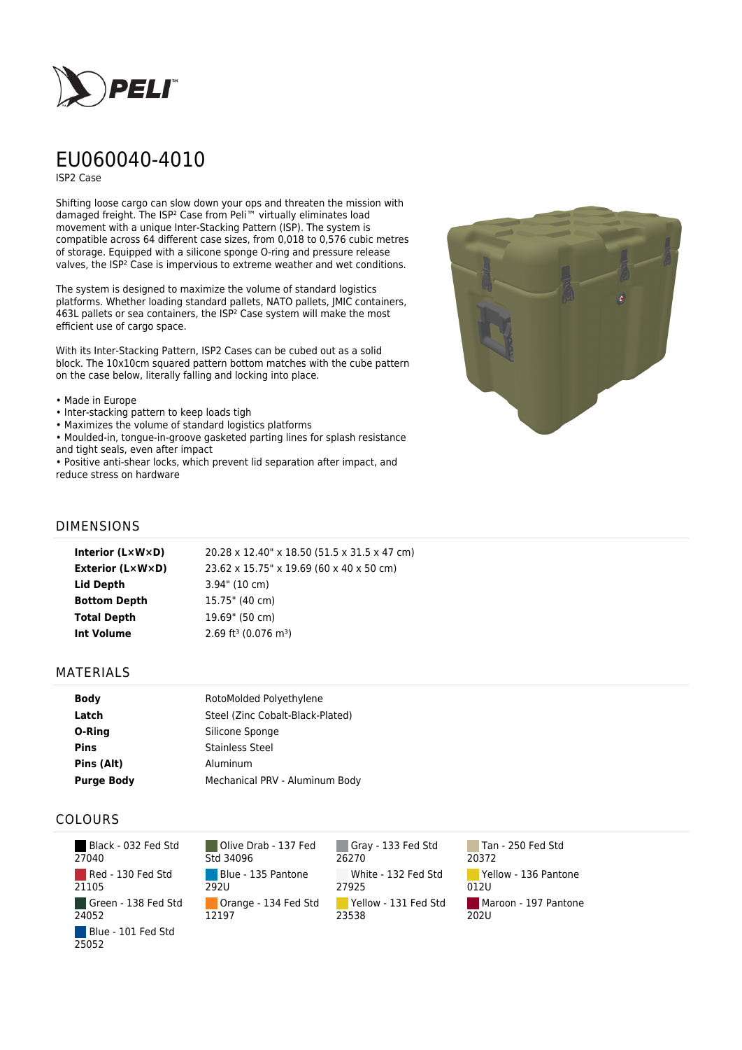

# EU060040-4010

ISP2 Case

Shifting loose cargo can slow down your ops and threaten the mission with damaged freight. The ISP² Case from Peli™ virtually eliminates load movement with a unique Inter-Stacking Pattern (ISP). The system is compatible across 64 different case sizes, from 0,018 to 0,576 cubic metres of storage. Equipped with a silicone sponge O-ring and pressure release valves, the ISP² Case is impervious to extreme weather and wet conditions.

The system is designed to maximize the volume of standard logistics platforms. Whether loading standard pallets, NATO pallets, JMIC containers, 463L pallets or sea containers, the ISP² Case system will make the most efficient use of cargo space.

With its Inter-Stacking Pattern, ISP2 Cases can be cubed out as a solid block. The 10x10cm squared pattern bottom matches with the cube pattern on the case below, literally falling and locking into place.

#### • Made in Europe

- Inter-stacking pattern to keep loads tigh
- Maximizes the volume of standard logistics platforms
- Moulded-in, tongue-in-groove gasketed parting lines for splash resistance and tight seals, even after impact

• Positive anti-shear locks, which prevent lid separation after impact, and reduce stress on hardware



## DIMENSIONS

| Interior (LxWxD)        | 20.28 x 12.40" x 18.50 (51.5 x 31.5 x 47 cm)   |
|-------------------------|------------------------------------------------|
| <b>Exterior (L×W×D)</b> | 23.62 x 15.75" x 19.69 (60 x 40 x 50 cm)       |
| Lid Depth               | $3.94$ " (10 cm)                               |
| <b>Bottom Depth</b>     | 15.75" (40 cm)                                 |
| <b>Total Depth</b>      | 19.69" (50 cm)                                 |
| Int Volume              | $2.69$ ft <sup>3</sup> (0.076 m <sup>3</sup> ) |
|                         |                                                |

### MATERIALS

| <b>Body</b>       | RotoMolded Polyethylene          |
|-------------------|----------------------------------|
| Latch             | Steel (Zinc Cobalt-Black-Plated) |
| O-Ring            | Silicone Sponge                  |
| <b>Pins</b>       | <b>Stainless Steel</b>           |
| Pins (Alt)        | Aluminum                         |
| <b>Purge Body</b> | Mechanical PRV - Aluminum Body   |

## COLOURS

 Black - 032 Fed Std 27040 Red - 130 Fed Std 21105 Green - 138 Fed Std 24052 Blue - 101 Fed Std 25052

Olive Drab - 137 Fed Std 34096 Blue - 135 Pantone 292U Orange - 134 Fed Std 12197

Gray - 133 Fed Std 26270 White - 132 Fed Std 27925 Yellow - 131 Fed Std 23538

Tan - 250 Fed Std 20372 Yellow - 136 Pantone 012U Maroon - 197 Pantone  $202U$